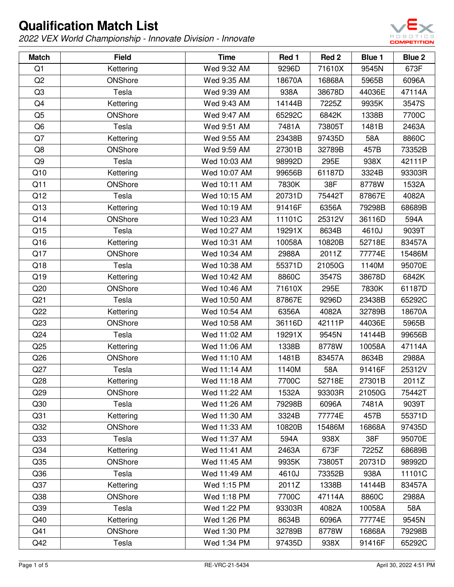

| <b>Match</b>    | <b>Field</b> | <b>Time</b>  | Red 1  | Red 2  | Blue 1 | Blue 2 |
|-----------------|--------------|--------------|--------|--------|--------|--------|
| Q1              | Kettering    | Wed 9:32 AM  | 9296D  | 71610X | 9545N  | 673F   |
| Q <sub>2</sub>  | ONShore      | Wed 9:35 AM  | 18670A | 16868A | 5965B  | 6096A  |
| Q <sub>3</sub>  | Tesla        | Wed 9:39 AM  | 938A   | 38678D | 44036E | 47114A |
| Q4              | Kettering    | Wed 9:43 AM  | 14144B | 7225Z  | 9935K  | 3547S  |
| Q <sub>5</sub>  | ONShore      | Wed 9:47 AM  | 65292C | 6842K  | 1338B  | 7700C  |
| Q <sub>6</sub>  | Tesla        | Wed 9:51 AM  | 7481A  | 73805T | 1481B  | 2463A  |
| Q7              | Kettering    | Wed 9:55 AM  | 23438B | 97435D | 58A    | 8860C  |
| Q8              | ONShore      | Wed 9:59 AM  | 27301B | 32789B | 457B   | 73352B |
| Q9              | Tesla        | Wed 10:03 AM | 98992D | 295E   | 938X   | 42111P |
| Q10             | Kettering    | Wed 10:07 AM | 99656B | 61187D | 3324B  | 93303R |
| Q11             | ONShore      | Wed 10:11 AM | 7830K  | 38F    | 8778W  | 1532A  |
| Q12             | Tesla        | Wed 10:15 AM | 20731D | 75442T | 87867E | 4082A  |
| Q13             | Kettering    | Wed 10:19 AM | 91416F | 6356A  | 79298B | 68689B |
| Q14             | ONShore      | Wed 10:23 AM | 11101C | 25312V | 36116D | 594A   |
| Q15             | Tesla        | Wed 10:27 AM | 19291X | 8634B  | 4610J  | 9039T  |
| Q16             | Kettering    | Wed 10:31 AM | 10058A | 10820B | 52718E | 83457A |
| Q17             | ONShore      | Wed 10:34 AM | 2988A  | 2011Z  | 77774E | 15486M |
| Q18             | Tesla        | Wed 10:38 AM | 55371D | 21050G | 1140M  | 95070E |
| Q19             | Kettering    | Wed 10:42 AM | 8860C  | 3547S  | 38678D | 6842K  |
| Q20             | ONShore      | Wed 10:46 AM | 71610X | 295E   | 7830K  | 61187D |
| Q <sub>21</sub> | Tesla        | Wed 10:50 AM | 87867E | 9296D  | 23438B | 65292C |
| Q22             | Kettering    | Wed 10:54 AM | 6356A  | 4082A  | 32789B | 18670A |
| Q23             | ONShore      | Wed 10:58 AM | 36116D | 42111P | 44036E | 5965B  |
| Q24             | Tesla        | Wed 11:02 AM | 19291X | 9545N  | 14144B | 99656B |
| Q25             | Kettering    | Wed 11:06 AM | 1338B  | 8778W  | 10058A | 47114A |
| Q26             | ONShore      | Wed 11:10 AM | 1481B  | 83457A | 8634B  | 2988A  |
| Q27             | Tesla        | Wed 11:14 AM | 1140M  | 58A    | 91416F | 25312V |
| Q28             | Kettering    | Wed 11:18 AM | 7700C  | 52718E | 27301B | 2011Z  |
| Q29             | ONShore      | Wed 11:22 AM | 1532A  | 93303R | 21050G | 75442T |
| Q30             | Tesla        | Wed 11:26 AM | 79298B | 6096A  | 7481A  | 9039T  |
| Q <sub>31</sub> | Kettering    | Wed 11:30 AM | 3324B  | 77774E | 457B   | 55371D |
| Q <sub>32</sub> | ONShore      | Wed 11:33 AM | 10820B | 15486M | 16868A | 97435D |
| Q33             | Tesla        | Wed 11:37 AM | 594A   | 938X   | 38F    | 95070E |
| Q <sub>34</sub> | Kettering    | Wed 11:41 AM | 2463A  | 673F   | 7225Z  | 68689B |
| Q35             | ONShore      | Wed 11:45 AM | 9935K  | 73805T | 20731D | 98992D |
| Q36             | Tesla        | Wed 11:49 AM | 4610J  | 73352B | 938A   | 11101C |
| Q <sub>37</sub> | Kettering    | Wed 1:15 PM  | 2011Z  | 1338B  | 14144B | 83457A |
| Q38             | ONShore      | Wed 1:18 PM  | 7700C  | 47114A | 8860C  | 2988A  |
| Q39             | Tesla        | Wed 1:22 PM  | 93303R | 4082A  | 10058A | 58A    |
| Q40             | Kettering    | Wed 1:26 PM  | 8634B  | 6096A  | 77774E | 9545N  |
| Q41             | ONShore      | Wed 1:30 PM  | 32789B | 8778W  | 16868A | 79298B |
| Q42             | Tesla        | Wed 1:34 PM  | 97435D | 938X   | 91416F | 65292C |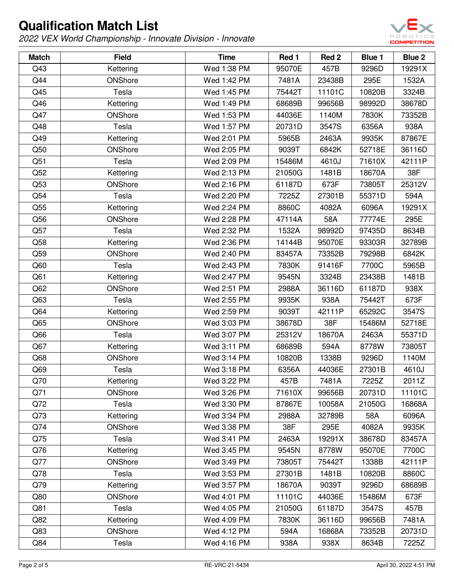

| <b>Match</b> | <b>Field</b> | <b>Time</b> | Red 1  | Red <sub>2</sub> | <b>Blue 1</b> | Blue 2 |
|--------------|--------------|-------------|--------|------------------|---------------|--------|
| Q43          | Kettering    | Wed 1:38 PM | 95070E | 457B             | 9296D         | 19291X |
| Q44          | ONShore      | Wed 1:42 PM | 7481A  | 23438B           | 295E          | 1532A  |
| Q45          | Tesla        | Wed 1:45 PM | 75442T | 11101C           | 10820B        | 3324B  |
| Q46          | Kettering    | Wed 1:49 PM | 68689B | 99656B           | 98992D        | 38678D |
| Q47          | ONShore      | Wed 1:53 PM | 44036E | 1140M            | 7830K         | 73352B |
| Q48          | Tesla        | Wed 1:57 PM | 20731D | 3547S            | 6356A         | 938A   |
| Q49          | Kettering    | Wed 2:01 PM | 5965B  | 2463A            | 9935K         | 87867E |
| Q50          | ONShore      | Wed 2:05 PM | 9039T  | 6842K            | 52718E        | 36116D |
| Q51          | Tesla        | Wed 2:09 PM | 15486M | 4610J            | 71610X        | 42111P |
| Q52          | Kettering    | Wed 2:13 PM | 21050G | 1481B            | 18670A        | 38F    |
| Q53          | ONShore      | Wed 2:16 PM | 61187D | 673F             | 73805T        | 25312V |
| Q54          | Tesla        | Wed 2:20 PM | 7225Z  | 27301B           | 55371D        | 594A   |
| Q55          | Kettering    | Wed 2:24 PM | 8860C  | 4082A            | 6096A         | 19291X |
| Q56          | ONShore      | Wed 2:28 PM | 47114A | 58A              | 77774E        | 295E   |
| Q57          | Tesla        | Wed 2:32 PM | 1532A  | 98992D           | 97435D        | 8634B  |
| Q58          | Kettering    | Wed 2:36 PM | 14144B | 95070E           | 93303R        | 32789B |
| Q59          | ONShore      | Wed 2:40 PM | 83457A | 73352B           | 79298B        | 6842K  |
| Q60          | Tesla        | Wed 2:43 PM | 7830K  | 91416F           | 7700C         | 5965B  |
| Q61          | Kettering    | Wed 2:47 PM | 9545N  | 3324B            | 23438B        | 1481B  |
| Q62          | ONShore      | Wed 2:51 PM | 2988A  | 36116D           | 61187D        | 938X   |
| Q63          | Tesla        | Wed 2:55 PM | 9935K  | 938A             | 75442T        | 673F   |
| Q64          | Kettering    | Wed 2:59 PM | 9039T  | 42111P           | 65292C        | 3547S  |
| Q65          | ONShore      | Wed 3:03 PM | 38678D | 38F              | 15486M        | 52718E |
| Q66          | Tesla        | Wed 3:07 PM | 25312V | 18670A           | 2463A         | 55371D |
| Q67          | Kettering    | Wed 3:11 PM | 68689B | 594A             | 8778W         | 73805T |
| Q68          | ONShore      | Wed 3:14 PM | 10820B | 1338B            | 9296D         | 1140M  |
| Q69          | Tesla        | Wed 3:18 PM | 6356A  | 44036E           | 27301B        | 4610J  |
| Q70          | Kettering    | Wed 3:22 PM | 457B   | 7481A            | 7225Z         | 2011Z  |
| Q71          | ONShore      | Wed 3:26 PM | 71610X | 99656B           | 20731D        | 11101C |
| Q72          | Tesla        | Wed 3:30 PM | 87867E | 10058A           | 21050G        | 16868A |
| Q73          | Kettering    | Wed 3:34 PM | 2988A  | 32789B           | 58A           | 6096A  |
| Q74          | ONShore      | Wed 3:38 PM | 38F    | 295E             | 4082A         | 9935K  |
| Q75          | Tesla        | Wed 3:41 PM | 2463A  | 19291X           | 38678D        | 83457A |
| Q76          | Kettering    | Wed 3:45 PM | 9545N  | 8778W            | 95070E        | 7700C  |
| Q77          | ONShore      | Wed 3:49 PM | 73805T | 75442T           | 1338B         | 42111P |
| Q78          | Tesla        | Wed 3:53 PM | 27301B | 1481B            | 10820B        | 8860C  |
| Q79          | Kettering    | Wed 3:57 PM | 18670A | 9039T            | 9296D         | 68689B |
| Q80          | ONShore      | Wed 4:01 PM | 11101C | 44036E           | 15486M        | 673F   |
| Q81          | Tesla        | Wed 4:05 PM | 21050G | 61187D           | 3547S         | 457B   |
| Q82          | Kettering    | Wed 4:09 PM | 7830K  | 36116D           | 99656B        | 7481A  |
| Q83          | ONShore      | Wed 4:12 PM | 594A   | 16868A           | 73352B        | 20731D |
| Q84          | Tesla        | Wed 4:16 PM | 938A   | 938X             | 8634B         | 7225Z  |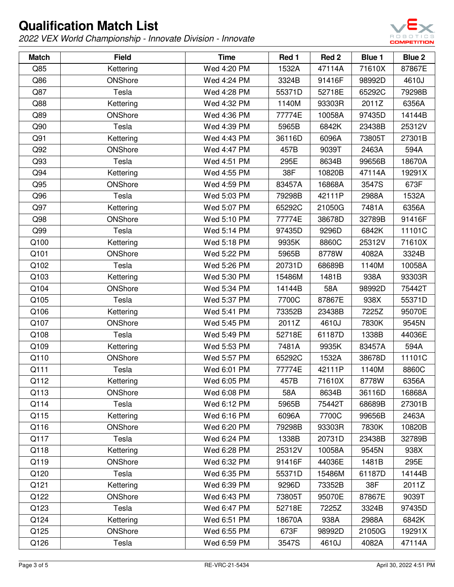

| <b>Match</b> | <b>Field</b> | <b>Time</b> | Red 1  | Red 2  | <b>Blue 1</b> | Blue 2 |
|--------------|--------------|-------------|--------|--------|---------------|--------|
| Q85          | Kettering    | Wed 4:20 PM | 1532A  | 47114A | 71610X        | 87867E |
| Q86          | ONShore      | Wed 4:24 PM | 3324B  | 91416F | 98992D        | 4610J  |
| Q87          | Tesla        | Wed 4:28 PM | 55371D | 52718E | 65292C        | 79298B |
| Q88          | Kettering    | Wed 4:32 PM | 1140M  | 93303R | 2011Z         | 6356A  |
| Q89          | ONShore      | Wed 4:36 PM | 77774E | 10058A | 97435D        | 14144B |
| Q90          | Tesla        | Wed 4:39 PM | 5965B  | 6842K  | 23438B        | 25312V |
| Q91          | Kettering    | Wed 4:43 PM | 36116D | 6096A  | 73805T        | 27301B |
| Q92          | ONShore      | Wed 4:47 PM | 457B   | 9039T  | 2463A         | 594A   |
| Q93          | Tesla        | Wed 4:51 PM | 295E   | 8634B  | 99656B        | 18670A |
| Q94          | Kettering    | Wed 4:55 PM | 38F    | 10820B | 47114A        | 19291X |
| Q95          | ONShore      | Wed 4:59 PM | 83457A | 16868A | 3547S         | 673F   |
| Q96          | Tesla        | Wed 5:03 PM | 79298B | 42111P | 2988A         | 1532A  |
| Q97          | Kettering    | Wed 5:07 PM | 65292C | 21050G | 7481A         | 6356A  |
| Q98          | ONShore      | Wed 5:10 PM | 77774E | 38678D | 32789B        | 91416F |
| Q99          | Tesla        | Wed 5:14 PM | 97435D | 9296D  | 6842K         | 11101C |
| Q100         | Kettering    | Wed 5:18 PM | 9935K  | 8860C  | 25312V        | 71610X |
| Q101         | ONShore      | Wed 5:22 PM | 5965B  | 8778W  | 4082A         | 3324B  |
| Q102         | Tesla        | Wed 5:26 PM | 20731D | 68689B | 1140M         | 10058A |
| Q103         | Kettering    | Wed 5:30 PM | 15486M | 1481B  | 938A          | 93303R |
| Q104         | ONShore      | Wed 5:34 PM | 14144B | 58A    | 98992D        | 75442T |
| Q105         | Tesla        | Wed 5:37 PM | 7700C  | 87867E | 938X          | 55371D |
| Q106         | Kettering    | Wed 5:41 PM | 73352B | 23438B | 7225Z         | 95070E |
| Q107         | ONShore      | Wed 5:45 PM | 2011Z  | 4610J  | 7830K         | 9545N  |
| Q108         | Tesla        | Wed 5:49 PM | 52718E | 61187D | 1338B         | 44036E |
| Q109         | Kettering    | Wed 5:53 PM | 7481A  | 9935K  | 83457A        | 594A   |
| Q110         | ONShore      | Wed 5:57 PM | 65292C | 1532A  | 38678D        | 11101C |
| Q111         | Tesla        | Wed 6:01 PM | 77774E | 42111P | 1140M         | 8860C  |
| Q112         | Kettering    | Wed 6:05 PM | 457B   | 71610X | 8778W         | 6356A  |
| Q113         | ONShore      | Wed 6:08 PM | 58A    | 8634B  | 36116D        | 16868A |
| Q114         | Tesla        | Wed 6:12 PM | 5965B  | 75442T | 68689B        | 27301B |
| Q115         | Kettering    | Wed 6:16 PM | 6096A  | 7700C  | 99656B        | 2463A  |
| Q116         | ONShore      | Wed 6:20 PM | 79298B | 93303R | 7830K         | 10820B |
| Q117         | Tesla        | Wed 6:24 PM | 1338B  | 20731D | 23438B        | 32789B |
| Q118         | Kettering    | Wed 6:28 PM | 25312V | 10058A | 9545N         | 938X   |
| Q119         | ONShore      | Wed 6:32 PM | 91416F | 44036E | 1481B         | 295E   |
| Q120         | Tesla        | Wed 6:35 PM | 55371D | 15486M | 61187D        | 14144B |
| Q121         | Kettering    | Wed 6:39 PM | 9296D  | 73352B | 38F           | 2011Z  |
| Q122         | ONShore      | Wed 6:43 PM | 73805T | 95070E | 87867E        | 9039T  |
| Q123         | Tesla        | Wed 6:47 PM | 52718E | 7225Z  | 3324B         | 97435D |
| Q124         | Kettering    | Wed 6:51 PM | 18670A | 938A   | 2988A         | 6842K  |
| Q125         | ONShore      | Wed 6:55 PM | 673F   | 98992D | 21050G        | 19291X |
| Q126         | Tesla        | Wed 6:59 PM | 3547S  | 4610J  | 4082A         | 47114A |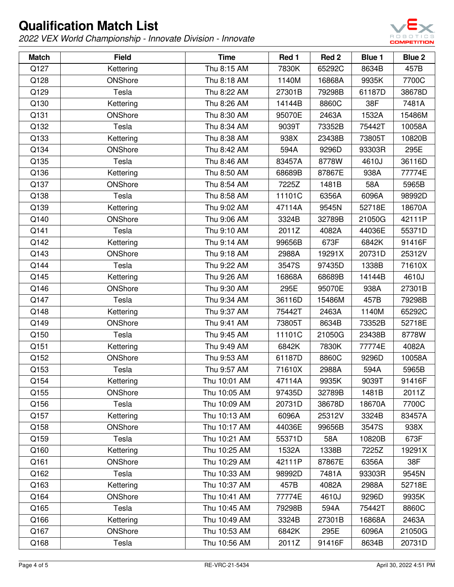

| <b>Match</b> | <b>Field</b> | <b>Time</b>  | Red 1  | Red 2  | <b>Blue 1</b> | Blue 2 |
|--------------|--------------|--------------|--------|--------|---------------|--------|
| Q127         | Kettering    | Thu 8:15 AM  | 7830K  | 65292C | 8634B         | 457B   |
| Q128         | ONShore      | Thu 8:18 AM  | 1140M  | 16868A | 9935K         | 7700C  |
| Q129         | Tesla        | Thu 8:22 AM  | 27301B | 79298B | 61187D        | 38678D |
| Q130         | Kettering    | Thu 8:26 AM  | 14144B | 8860C  | 38F           | 7481A  |
| Q131         | ONShore      | Thu 8:30 AM  | 95070E | 2463A  | 1532A         | 15486M |
| Q132         | Tesla        | Thu 8:34 AM  | 9039T  | 73352B | 75442T        | 10058A |
| Q133         | Kettering    | Thu 8:38 AM  | 938X   | 23438B | 73805T        | 10820B |
| Q134         | ONShore      | Thu 8:42 AM  | 594A   | 9296D  | 93303R        | 295E   |
| Q135         | Tesla        | Thu 8:46 AM  | 83457A | 8778W  | 4610J         | 36116D |
| Q136         | Kettering    | Thu 8:50 AM  | 68689B | 87867E | 938A          | 77774E |
| Q137         | ONShore      | Thu 8:54 AM  | 7225Z  | 1481B  | 58A           | 5965B  |
| Q138         | Tesla        | Thu 8:58 AM  | 11101C | 6356A  | 6096A         | 98992D |
| Q139         | Kettering    | Thu 9:02 AM  | 47114A | 9545N  | 52718E        | 18670A |
| Q140         | ONShore      | Thu 9:06 AM  | 3324B  | 32789B | 21050G        | 42111P |
| Q141         | Tesla        | Thu 9:10 AM  | 2011Z  | 4082A  | 44036E        | 55371D |
| Q142         | Kettering    | Thu 9:14 AM  | 99656B | 673F   | 6842K         | 91416F |
| Q143         | ONShore      | Thu 9:18 AM  | 2988A  | 19291X | 20731D        | 25312V |
| Q144         | Tesla        | Thu 9:22 AM  | 3547S  | 97435D | 1338B         | 71610X |
| Q145         | Kettering    | Thu 9:26 AM  | 16868A | 68689B | 14144B        | 4610J  |
| Q146         | ONShore      | Thu 9:30 AM  | 295E   | 95070E | 938A          | 27301B |
| Q147         | Tesla        | Thu 9:34 AM  | 36116D | 15486M | 457B          | 79298B |
| Q148         | Kettering    | Thu 9:37 AM  | 75442T | 2463A  | 1140M         | 65292C |
| Q149         | ONShore      | Thu 9:41 AM  | 73805T | 8634B  | 73352B        | 52718E |
| Q150         | Tesla        | Thu 9:45 AM  | 11101C | 21050G | 23438B        | 8778W  |
| Q151         | Kettering    | Thu 9:49 AM  | 6842K  | 7830K  | 77774E        | 4082A  |
| Q152         | ONShore      | Thu 9:53 AM  | 61187D | 8860C  | 9296D         | 10058A |
| Q153         | Tesla        | Thu 9:57 AM  | 71610X | 2988A  | 594A          | 5965B  |
| Q154         | Kettering    | Thu 10:01 AM | 47114A | 9935K  | 9039T         | 91416F |
| Q155         | ONShore      | Thu 10:05 AM | 97435D | 32789B | 1481B         | 2011Z  |
| Q156         | Tesla        | Thu 10:09 AM | 20731D | 38678D | 18670A        | 7700C  |
| Q157         | Kettering    | Thu 10:13 AM | 6096A  | 25312V | 3324B         | 83457A |
| Q158         | ONShore      | Thu 10:17 AM | 44036E | 99656B | 3547S         | 938X   |
| Q159         | Tesla        | Thu 10:21 AM | 55371D | 58A    | 10820B        | 673F   |
| Q160         | Kettering    | Thu 10:25 AM | 1532A  | 1338B  | 7225Z         | 19291X |
| Q161         | ONShore      | Thu 10:29 AM | 42111P | 87867E | 6356A         | 38F    |
| Q162         | Tesla        | Thu 10:33 AM | 98992D | 7481A  | 93303R        | 9545N  |
| Q163         | Kettering    | Thu 10:37 AM | 457B   | 4082A  | 2988A         | 52718E |
| Q164         | ONShore      | Thu 10:41 AM | 77774E | 4610J  | 9296D         | 9935K  |
| Q165         | Tesla        | Thu 10:45 AM | 79298B | 594A   | 75442T        | 8860C  |
| Q166         | Kettering    | Thu 10:49 AM | 3324B  | 27301B | 16868A        | 2463A  |
| Q167         | ONShore      | Thu 10:53 AM | 6842K  | 295E   | 6096A         | 21050G |
| Q168         | Tesla        | Thu 10:56 AM | 2011Z  | 91416F | 8634B         | 20731D |